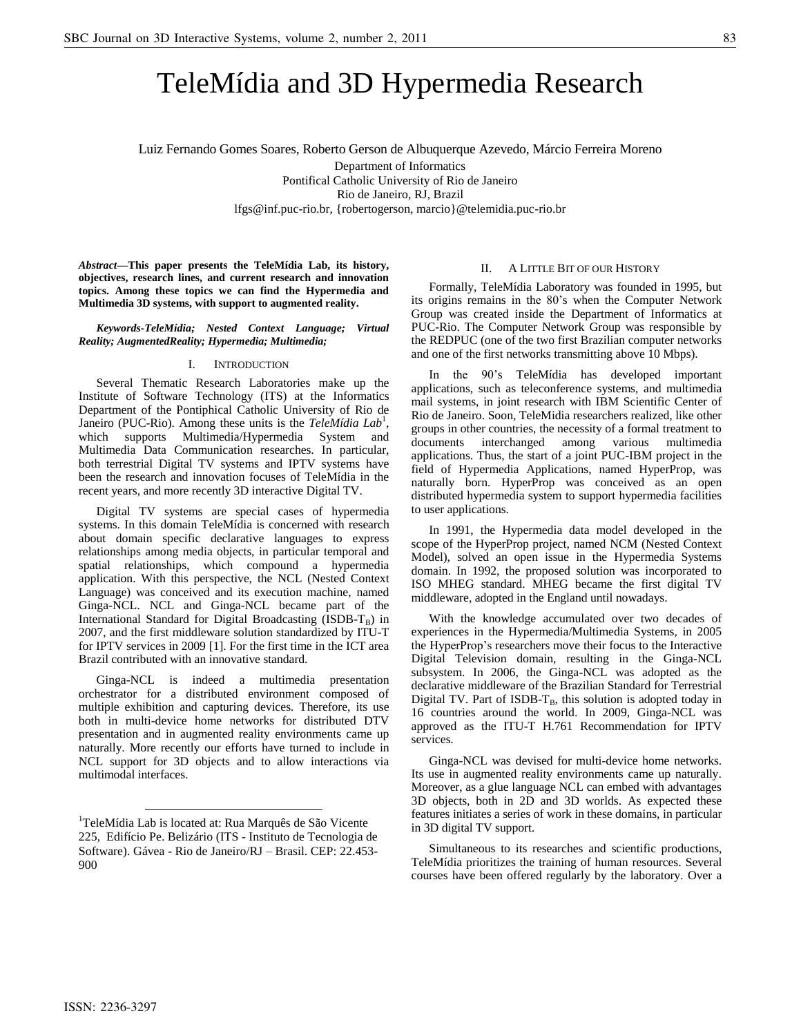# TeleMídia and 3D Hypermedia Research

Luiz Fernando Gomes Soares, Roberto Gerson de Albuquerque Azevedo, Márcio Ferreira Moreno Department of Informatics Pontifical Catholic University of Rio de Janeiro Rio de Janeiro, RJ, Brazil lfgs@inf.puc-rio.br, {robertogerson, marcio}@telemidia.puc-rio.br

*Abstract***—This paper presents the TeleMídia Lab, its history, objectives, research lines, and current research and innovation topics. Among these topics we can find the Hypermedia and Multimedia 3D systems, with support to augmented reality.**

*Keywords-TeleMídia; Nested Context Language; Virtual Reality; AugmentedReality; Hypermedia; Multimedia;*

#### I. INTRODUCTION

Several Thematic Research Laboratories make up the Institute of Software Technology (ITS) at the Informatics Department of the Pontiphical Catholic University of Rio de Janeiro (PUC-Rio). Among these units is the *TeleMídia Lab<sup>1</sup>*, which supports Multimedia/Hypermedia System and Multimedia Data Communication researches. In particular, both terrestrial Digital TV systems and IPTV systems have been the research and innovation focuses of TeleMídia in the recent years, and more recently 3D interactive Digital TV.

Digital TV systems are special cases of hypermedia systems. In this domain TeleMídia is concerned with research about domain specific declarative languages to express relationships among media objects, in particular temporal and spatial relationships, which compound a hypermedia application. With this perspective, the NCL (Nested Context Language) was conceived and its execution machine, named Ginga-NCL. NCL and Ginga-NCL became part of the International Standard for Digital Broadcasting (ISDB-TB) in 2007, and the first middleware solution standardized by ITU-T for IPTV services in 2009 [1]. For the first time in the ICT area Brazil contributed with an innovative standard.

Ginga-NCL is indeed a multimedia presentation orchestrator for a distributed environment composed of multiple exhibition and capturing devices. Therefore, its use both in multi-device home networks for distributed DTV presentation and in augmented reality environments came up naturally. More recently our efforts have turned to include in NCL support for 3D objects and to allow interactions via multimodal interfaces.

#### II. A LITTLE BIT OF OUR HISTORY

Formally, TeleMídia Laboratory was founded in 1995, but its origins remains in the 80's when the Computer Network Group was created inside the Department of Informatics at PUC-Rio. The Computer Network Group was responsible by the REDPUC (one of the two first Brazilian computer networks and one of the first networks transmitting above 10 Mbps).

In the 90's TeleMídia has developed important applications, such as teleconference systems, and multimedia mail systems, in joint research with IBM Scientific Center of Rio de Janeiro. Soon, TeleMidia researchers realized, like other groups in other countries, the necessity of a formal treatment to documents interchanged among various multimedia applications. Thus, the start of a joint PUC-IBM project in the field of Hypermedia Applications, named HyperProp, was naturally born. HyperProp was conceived as an open distributed hypermedia system to support hypermedia facilities to user applications.

In 1991, the Hypermedia data model developed in the scope of the HyperProp project, named NCM (Nested Context Model), solved an open issue in the Hypermedia Systems domain. In 1992, the proposed solution was incorporated to ISO MHEG standard. MHEG became the first digital TV middleware, adopted in the England until nowadays.

With the knowledge accumulated over two decades of experiences in the Hypermedia/Multimedia Systems, in 2005 the HyperProp's researchers move their focus to the Interactive Digital Television domain, resulting in the Ginga-NCL subsystem. In 2006, the Ginga-NCL was adopted as the declarative middleware of the Brazilian Standard for Terrestrial Digital TV. Part of ISDB- $T_B$ , this solution is adopted today in 16 countries around the world. In 2009, Ginga-NCL was approved as the ITU-T H.761 Recommendation for IPTV services.

Ginga-NCL was devised for multi-device home networks. Its use in augmented reality environments came up naturally. Moreover, as a glue language NCL can embed with advantages 3D objects, both in 2D and 3D worlds. As expected these features initiates a series of work in these domains, in particular in 3D digital TV support.

Simultaneous to its researches and scientific productions, TeleMídia prioritizes the training of human resources. Several courses have been offered regularly by the laboratory. Over a

 $\overline{a}$ 

<sup>&</sup>lt;sup>1</sup>TeleMídia Lab is located at: Rua Marquês de São Vicente 225, Edifício Pe. Belizário (ITS - Instituto de Tecnologia de Software). Gávea - Rio de Janeiro/RJ – Brasil. CEP: 22.453- 900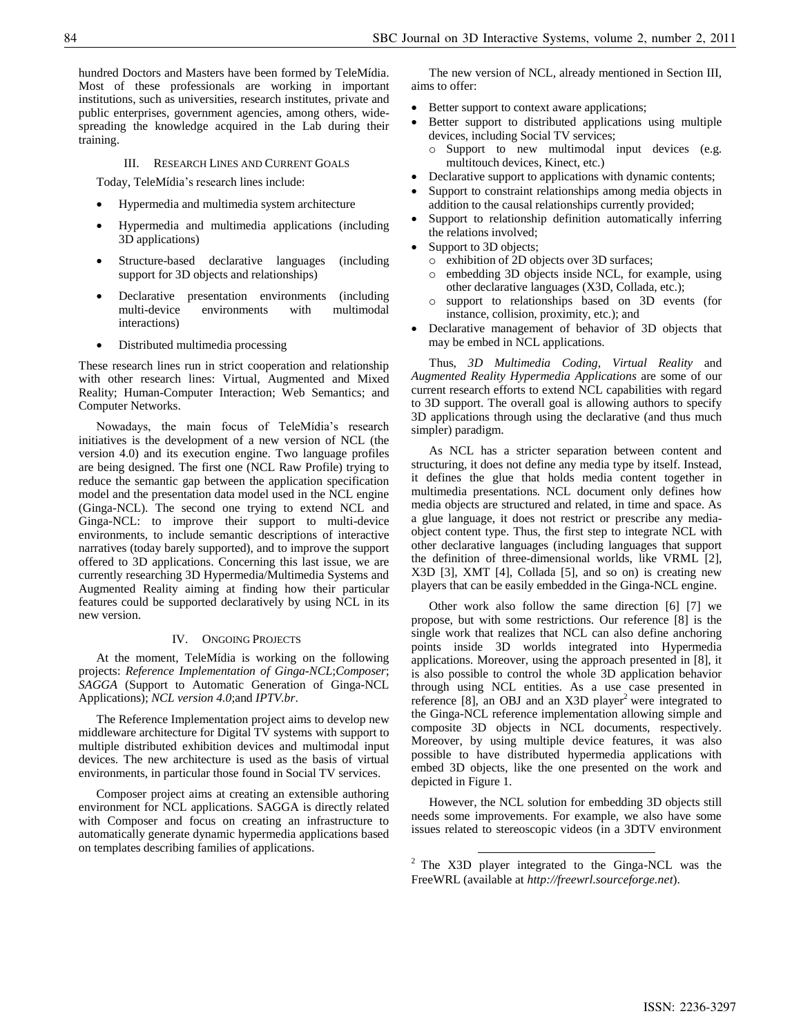hundred Doctors and Masters have been formed by TeleMídia. Most of these professionals are working in important institutions, such as universities, research institutes, private and public enterprises, government agencies, among others, widespreading the knowledge acquired in the Lab during their training.

III. RESEARCH LINES AND CURRENT GOALS

Today, TeleMídia's research lines include:

- Hypermedia and multimedia system architecture
- Hypermedia and multimedia applications (including 3D applications)
- Structure-based declarative languages (including support for 3D objects and relationships)
- Declarative presentation environments (including multi-device environments with multimodal interactions)
- Distributed multimedia processing

These research lines run in strict cooperation and relationship with other research lines: Virtual, Augmented and Mixed Reality; Human-Computer Interaction; Web Semantics; and Computer Networks.

Nowadays, the main focus of TeleMídia's research initiatives is the development of a new version of NCL (the version 4.0) and its execution engine. Two language profiles are being designed. The first one (NCL Raw Profile) trying to reduce the semantic gap between the application specification model and the presentation data model used in the NCL engine (Ginga-NCL). The second one trying to extend NCL and Ginga-NCL: to improve their support to multi-device environments, to include semantic descriptions of interactive narratives (today barely supported), and to improve the support offered to 3D applications. Concerning this last issue, we are currently researching 3D Hypermedia/Multimedia Systems and Augmented Reality aiming at finding how their particular features could be supported declaratively by using NCL in its new version.

## IV. ONGOING PROJECTS

At the moment, TeleMídia is working on the following projects: *Reference Implementation of Ginga-NCL*;*Composer*; *SAGGA* (Support to Automatic Generation of Ginga-NCL Applications); *NCL version 4.0*;and *IPTV.br*.

The Reference Implementation project aims to develop new middleware architecture for Digital TV systems with support to multiple distributed exhibition devices and multimodal input devices. The new architecture is used as the basis of virtual environments, in particular those found in Social TV services.

Composer project aims at creating an extensible authoring environment for NCL applications. SAGGA is directly related with Composer and focus on creating an infrastructure to automatically generate dynamic hypermedia applications based on templates describing families of applications.

The new version of NCL, already mentioned in Section III, aims to offer:

- Better support to context aware applications;
- Better support to distributed applications using multiple devices, including Social TV services;
	- o Support to new multimodal input devices (e.g. multitouch devices, Kinect, etc.)
- Declarative support to applications with dynamic contents;
- Support to constraint relationships among media objects in addition to the causal relationships currently provided;
- Support to relationship definition automatically inferring the relations involved;
- Support to 3D objects;
	- o exhibition of 2D objects over 3D surfaces;
	- o embedding 3D objects inside NCL, for example, using other declarative languages (X3D, Collada, etc.);
	- o support to relationships based on 3D events (for instance, collision, proximity, etc.); and
- Declarative management of behavior of 3D objects that may be embed in NCL applications.

Thus, *3D Multimedia Coding*, *Virtual Reality* and *Augmented Reality Hypermedia Applications* are some of our current research efforts to extend NCL capabilities with regard to 3D support. The overall goal is allowing authors to specify 3D applications through using the declarative (and thus much simpler) paradigm.

As NCL has a stricter separation between content and structuring, it does not define any media type by itself. Instead, it defines the glue that holds media content together in multimedia presentations. NCL document only defines how media objects are structured and related, in time and space. As a glue language, it does not restrict or prescribe any mediaobject content type. Thus, the first step to integrate NCL with other declarative languages (including languages that support the definition of three-dimensional worlds, like VRML [2], X3D [3], XMT [4], Collada [5], and so on) is creating new players that can be easily embedded in the Ginga-NCL engine.

Other work also follow the same direction [6] [7] we propose, but with some restrictions. Our reference [8] is the single work that realizes that NCL can also define anchoring points inside 3D worlds integrated into Hypermedia applications. Moreover, using the approach presented in [8], it is also possible to control the whole 3D application behavior through using NCL entities. As a use case presented in reference [8], an OBJ and an  $X3D$  player<sup>2</sup> were integrated to the Ginga-NCL reference implementation allowing simple and composite 3D objects in NCL documents, respectively. Moreover, by using multiple device features, it was also possible to have distributed hypermedia applications with embed 3D objects, like the one presented on the work and depicted in Figure 1.

However, the NCL solution for embedding 3D objects still needs some improvements. For example, we also have some issues related to stereoscopic videos (in a 3DTV environment

 $\overline{a}$ 

 $2$  The X3D player integrated to the Ginga-NCL was the FreeWRL (available at *http://freewrl.sourceforge.net*).